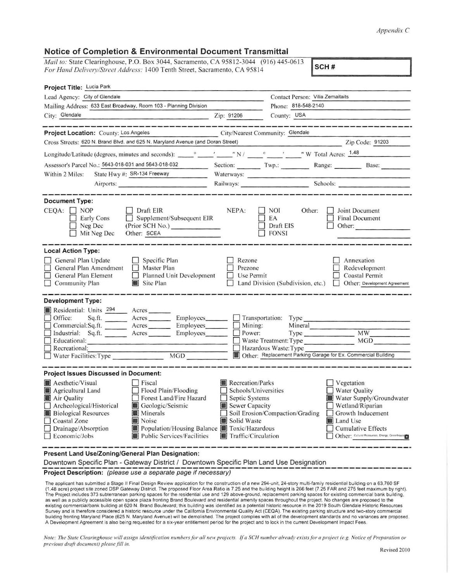## *Appendix C*

## **Notice of Completion & Environmental Document Transmittal**

| <i>Mail to:</i> State Clearinghouse, P.O. Box 3044, Sacramento, CA 95812-3044 (916) 445-0613<br>For Hand Delivery/Street Address: 1400 Tenth Street, Sacramento, CA 95814 | SCH#       |                                                         |  |  |
|---------------------------------------------------------------------------------------------------------------------------------------------------------------------------|------------|---------------------------------------------------------|--|--|
| <b>Project Title: Lucia Park</b>                                                                                                                                          |            |                                                         |  |  |
| Lead Agency: City of Glendale                                                                                                                                             |            | Contact Person: Vilia Zemaitaits<br>Phone: 818-548-2140 |  |  |
| Mailing Address: 633 East Broadway, Room 103 - Planning Division                                                                                                          |            |                                                         |  |  |
| City: Glendale                                                                                                                                                            | Zip: 91206 | County: USA                                             |  |  |

| Project Location: County: Los Angeles                                                                                                                     |                                            |                                                                                        | City/Nearest Community: Glendale              |                       |                                                                               |
|-----------------------------------------------------------------------------------------------------------------------------------------------------------|--------------------------------------------|----------------------------------------------------------------------------------------|-----------------------------------------------|-----------------------|-------------------------------------------------------------------------------|
| Cross Streets: 620 N. Brand Blvd. and 625 N. Maryland Avenue (and Doran Street)                                                                           |                                            |                                                                                        |                                               |                       | Zip Code: 91203                                                               |
|                                                                                                                                                           |                                            |                                                                                        |                                               |                       |                                                                               |
| Assessor's Parcel No.: 5643-018-031 and 5643-018-032                                                                                                      |                                            |                                                                                        |                                               |                       | Section: Twp.: Range: Base:                                                   |
| State Hwy #: SR-134 Freeway<br>Within 2 Miles:                                                                                                            |                                            |                                                                                        | Waterways:                                    |                       |                                                                               |
| Airports:                                                                                                                                                 |                                            |                                                                                        |                                               |                       | Railways: Schools: Schools:                                                   |
|                                                                                                                                                           |                                            |                                                                                        |                                               |                       |                                                                               |
| <b>Document Type:</b>                                                                                                                                     |                                            |                                                                                        |                                               |                       |                                                                               |
| $CEQA: \Box NP$<br>$\Box$ Draft EIR<br>Supplement/Subsequent EIR<br>Early Cons<br>Neg Dec<br>(Prior SCH No.)<br>Mit Neg Dec<br>Other: SCEA                |                                            | NEPA:                                                                                  | <b>NOI</b><br>EA<br>Draft EIS<br><b>FONSI</b> | Other:                | Joint Document<br><b>Final Document</b><br>Other:                             |
| <b>Local Action Type:</b>                                                                                                                                 |                                            |                                                                                        |                                               |                       |                                                                               |
| General Plan Update<br>$\Box$ Specific Plan<br>General Plan Amendment<br>$\Box$ Master Plan<br>General Plan Element<br>$\Box$ Community Plan<br>Site Plan | Planned Unit Development                   | Rezone<br>Prezone<br>Use Permit                                                        | Land Division (Subdivision, etc.)             |                       | Annexation<br>Redevelopment<br>Coastal Permit<br>Other: Development Agreement |
| <b>Development Type:</b>                                                                                                                                  |                                            |                                                                                        |                                               |                       |                                                                               |
| Residential: Units 294 Acres                                                                                                                              |                                            |                                                                                        |                                               |                       |                                                                               |
| $\Box$ Office:                                                                                                                                            | Employees_______                           |                                                                                        | Transportation: Type                          |                       |                                                                               |
| Commercial:Sq.ft. _______ Acres ________ Employees_______                                                                                                 |                                            |                                                                                        | Mining:                                       | Mineral               |                                                                               |
| Industrial: Sq.ft. Acres Employees                                                                                                                        |                                            |                                                                                        | Power:                                        | Type                  | MW<br>MGD                                                                     |
| $\Box$ Educational:<br>$\Box$ Recreational:                                                                                                               |                                            |                                                                                        |                                               | Waste Treatment: Type |                                                                               |
| MGD<br>$\Box$ Water Facilities: Type                                                                                                                      |                                            | Hazardous Waste: Type<br>Other: Replacement Parking Garage for Ex. Commercial Building |                                               |                       |                                                                               |
|                                                                                                                                                           |                                            |                                                                                        |                                               |                       |                                                                               |
| <b>Project Issues Discussed in Document:</b>                                                                                                              |                                            |                                                                                        |                                               |                       |                                                                               |
| Aesthetic/Visual<br>$ $ Fiscal                                                                                                                            |                                            | Recreation/Parks                                                                       |                                               |                       | Vegetation                                                                    |
| Flood Plain/Flooding<br>Agricultural Land                                                                                                                 |                                            | Schools/Universities                                                                   |                                               |                       | <b>Water Quality</b>                                                          |
| Air Quality                                                                                                                                               | Forest Land/Fire Hazard                    | Septic Systems                                                                         |                                               |                       | Water Supply/Groundwater                                                      |
| Archeological/Historical<br>Geologic/Seismic                                                                                                              |                                            | Sewer Capacity                                                                         |                                               |                       | Wetland/Riparian                                                              |
| <b>Minerals</b><br><b>Biological Resources</b>                                                                                                            |                                            | Soil Erosion/Compaction/Grading                                                        |                                               |                       | $\Box$ Growth Inducement                                                      |
| □ Coastal Zone<br>Noise                                                                                                                                   |                                            | Solid Waste                                                                            |                                               |                       | Land Use                                                                      |
| $\Box$ Drainage/Absorption                                                                                                                                | Population/Housing Balance Toxic/Hazardous |                                                                                        |                                               |                       | <b>Cumulative Effects</b>                                                     |
| $\Box$ Economic/Jobs<br>Public Services/Facilities                                                                                                        |                                            | Traffic/Circulation                                                                    |                                               |                       | Other: Cultural Resources, Energy, Greenhousen                                |

**Present Land Use/Zoning/General Plan Designation:** 

Downtown Specific Plan - Gateway District / Downtown Specific Plan Land Use Designation<br>Project Description: (please use a separate page if necessary)

The applicant has submitted a Stage II Final Design Review application for the construction of a new 294-unit, 24-story multi-family residential building on a 63,760 SF<br>(1.48 acre) project site zoned DSP Gateway District. The Project includes 373 subterranean parking spaces for the residential use and 129 above-ground, replacement parking spaces for existing commercial bank building,<br>as well as a publicly accessible open space plaza frontin existing commercial/bank building at 620 N. Brand Boulevard: this building was identified as a potential historic resource in the 2019 South Glendale Historic Resources Survey and is therefore considered a historic resource under the California Environmental Quality Act (CEQA). The existing parking structure and two-story commercial building fronting Maryland Place (625 N. Maryland Avenue) will be demolished. The project complies with all of the development standards and no variances are proposed. A Development Agreement is also being requested for a six-year entitlement period for the project and to lock in the current Development Impact Fees.

------------

*Note: The State Clearinghouse will assign identification numbers for all new projects. If a SCH number already exists for a project (e.g. Notice of Preparation or*  $p$ revious draft document) please fill in.